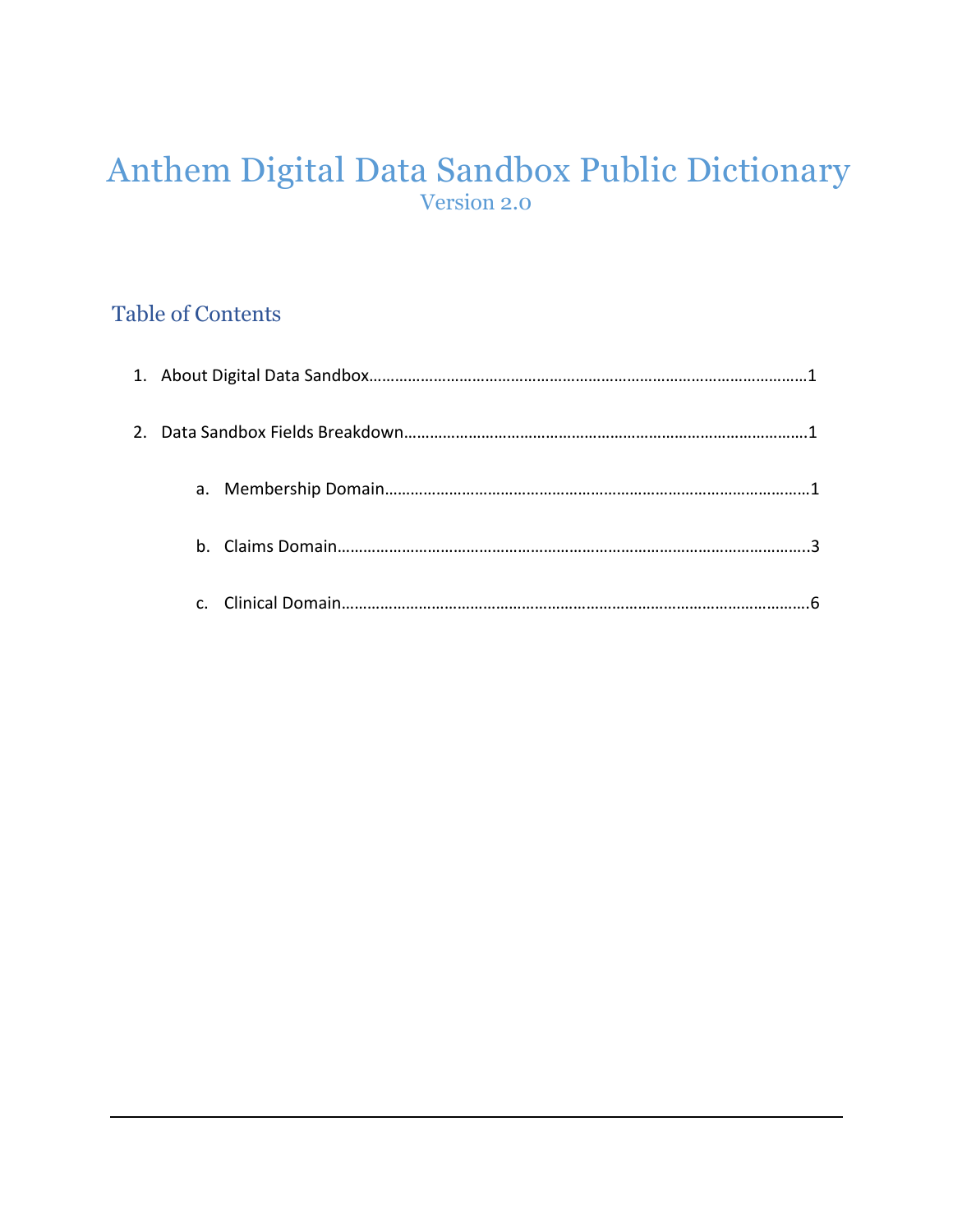## Anthem Digital Data Sandbox Public Dictionary Version 2.0

## Table of Contents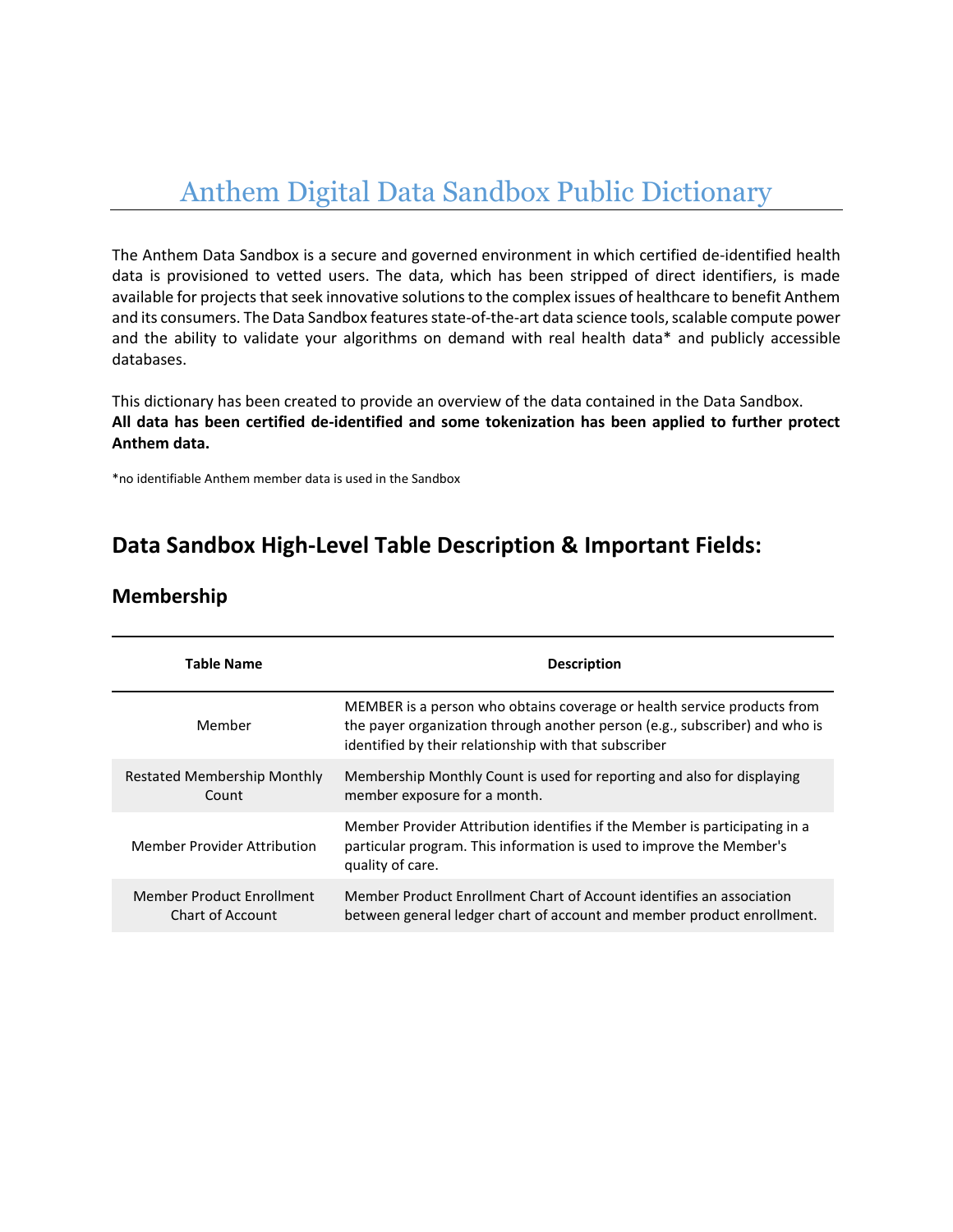# Anthem Digital Data Sandbox Public Dictionary

The Anthem Data Sandbox is a secure and governed environment in which certified de-identified health data is provisioned to vetted users. The data, which has been stripped of direct identifiers, is made available for projects that seek innovative solutions to the complex issues of healthcare to benefit Anthem and its consumers. The Data Sandbox features state-of-the-art data science tools, scalable compute power and the ability to validate your algorithms on demand with real health data\* and publicly accessible databases.

This dictionary has been created to provide an overview of the data contained in the Data Sandbox. **All data has been certified de-identified and some tokenization has been applied to further protect Anthem data.**

\*no identifiable Anthem member data is used in the Sandbox

## **Data Sandbox High-Level Table Description & Important Fields:**

| Table Name                                    | <b>Description</b>                                                                                                                                                                                              |  |
|-----------------------------------------------|-----------------------------------------------------------------------------------------------------------------------------------------------------------------------------------------------------------------|--|
| Member                                        | MEMBER is a person who obtains coverage or health service products from<br>the payer organization through another person (e.g., subscriber) and who is<br>identified by their relationship with that subscriber |  |
| Restated Membership Monthly<br>Count          | Membership Monthly Count is used for reporting and also for displaying<br>member exposure for a month.                                                                                                          |  |
| Member Provider Attribution                   | Member Provider Attribution identifies if the Member is participating in a<br>particular program. This information is used to improve the Member's<br>quality of care.                                          |  |
| Member Product Enrollment<br>Chart of Account | Member Product Enrollment Chart of Account identifies an association<br>between general ledger chart of account and member product enrollment.                                                                  |  |

#### **Membership**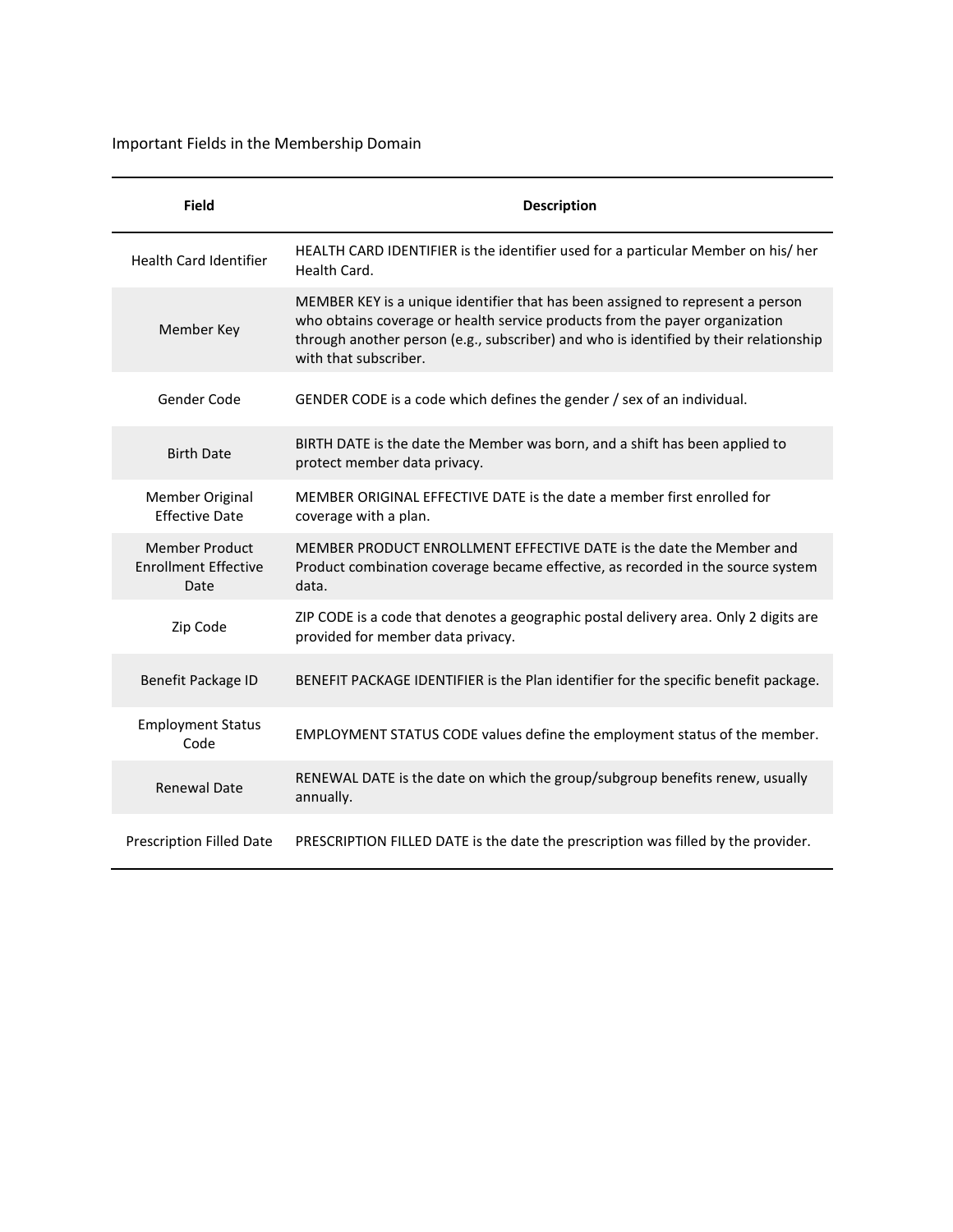Important Fields in the Membership Domain

| <b>Field</b>                                                 | <b>Description</b>                                                                                                                                                                                                                                                              |
|--------------------------------------------------------------|---------------------------------------------------------------------------------------------------------------------------------------------------------------------------------------------------------------------------------------------------------------------------------|
| <b>Health Card Identifier</b>                                | HEALTH CARD IDENTIFIER is the identifier used for a particular Member on his/ her<br>Health Card.                                                                                                                                                                               |
| Member Key                                                   | MEMBER KEY is a unique identifier that has been assigned to represent a person<br>who obtains coverage or health service products from the payer organization<br>through another person (e.g., subscriber) and who is identified by their relationship<br>with that subscriber. |
| Gender Code                                                  | GENDER CODE is a code which defines the gender / sex of an individual.                                                                                                                                                                                                          |
| <b>Birth Date</b>                                            | BIRTH DATE is the date the Member was born, and a shift has been applied to<br>protect member data privacy.                                                                                                                                                                     |
| Member Original<br><b>Effective Date</b>                     | MEMBER ORIGINAL EFFECTIVE DATE is the date a member first enrolled for<br>coverage with a plan.                                                                                                                                                                                 |
| <b>Member Product</b><br><b>Enrollment Effective</b><br>Date | MEMBER PRODUCT ENROLLMENT EFFECTIVE DATE is the date the Member and<br>Product combination coverage became effective, as recorded in the source system<br>data.                                                                                                                 |
| Zip Code                                                     | ZIP CODE is a code that denotes a geographic postal delivery area. Only 2 digits are<br>provided for member data privacy.                                                                                                                                                       |
| Benefit Package ID                                           | BENEFIT PACKAGE IDENTIFIER is the Plan identifier for the specific benefit package.                                                                                                                                                                                             |
| <b>Employment Status</b><br>Code                             | EMPLOYMENT STATUS CODE values define the employment status of the member.                                                                                                                                                                                                       |
| <b>Renewal Date</b>                                          | RENEWAL DATE is the date on which the group/subgroup benefits renew, usually<br>annually.                                                                                                                                                                                       |
| Prescription Filled Date                                     | PRESCRIPTION FILLED DATE is the date the prescription was filled by the provider.                                                                                                                                                                                               |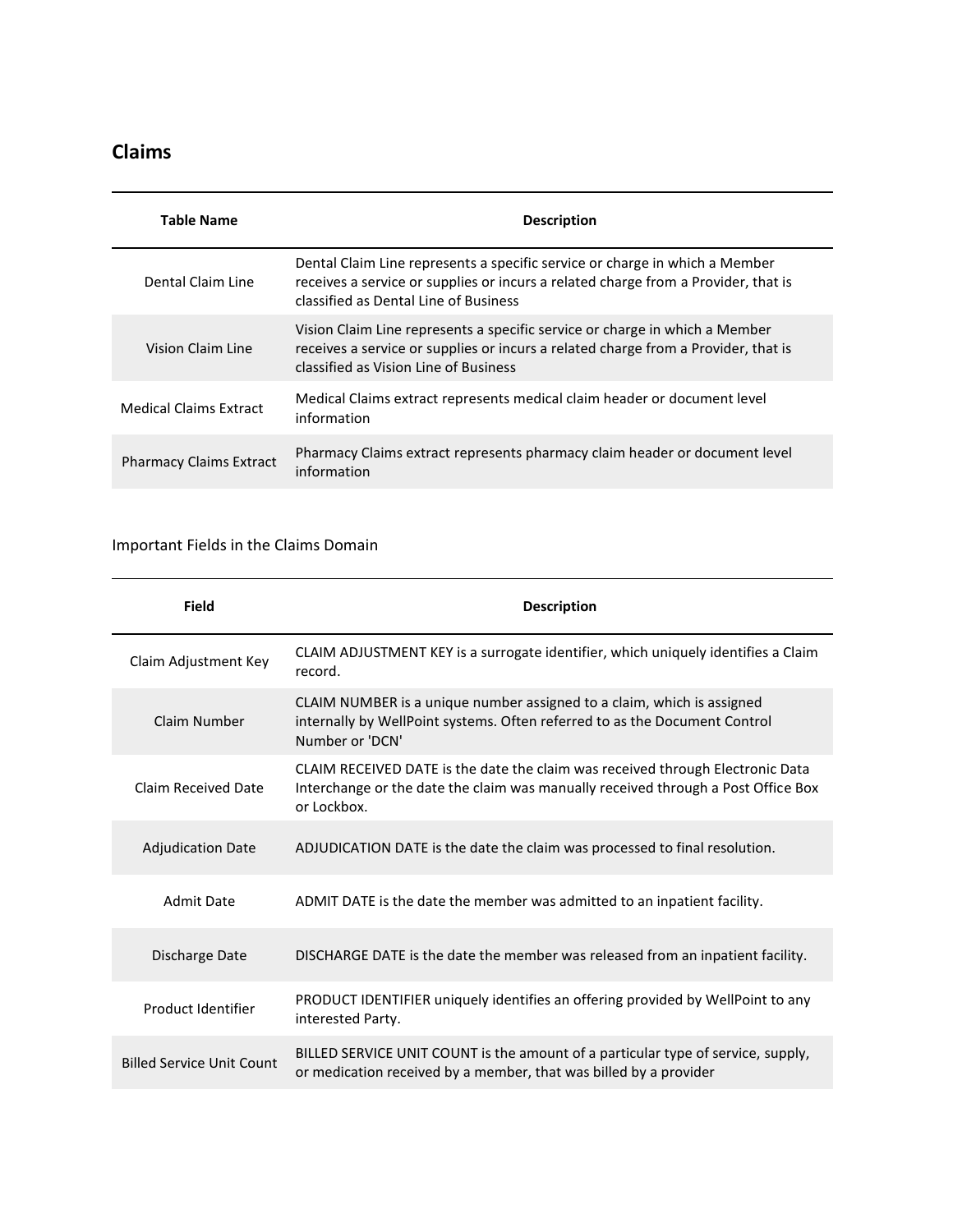### **Claims**

| Table Name                     | <b>Description</b>                                                                                                                                                                                         |
|--------------------------------|------------------------------------------------------------------------------------------------------------------------------------------------------------------------------------------------------------|
| Dental Claim Line              | Dental Claim Line represents a specific service or charge in which a Member<br>receives a service or supplies or incurs a related charge from a Provider, that is<br>classified as Dental Line of Business |
| Vision Claim Line              | Vision Claim Line represents a specific service or charge in which a Member<br>receives a service or supplies or incurs a related charge from a Provider, that is<br>classified as Vision Line of Business |
| <b>Medical Claims Extract</b>  | Medical Claims extract represents medical claim header or document level<br>information                                                                                                                    |
| <b>Pharmacy Claims Extract</b> | Pharmacy Claims extract represents pharmacy claim header or document level<br>information                                                                                                                  |

#### Important Fields in the Claims Domain

| <b>Field</b>                     | <b>Description</b>                                                                                                                                                                 |
|----------------------------------|------------------------------------------------------------------------------------------------------------------------------------------------------------------------------------|
| Claim Adjustment Key             | CLAIM ADJUSTMENT KEY is a surrogate identifier, which uniquely identifies a Claim<br>record.                                                                                       |
| Claim Number                     | CLAIM NUMBER is a unique number assigned to a claim, which is assigned<br>internally by WellPoint systems. Often referred to as the Document Control<br>Number or 'DCN'            |
| Claim Received Date              | CLAIM RECEIVED DATE is the date the claim was received through Electronic Data<br>Interchange or the date the claim was manually received through a Post Office Box<br>or Lockbox. |
| <b>Adjudication Date</b>         | ADJUDICATION DATE is the date the claim was processed to final resolution.                                                                                                         |
| <b>Admit Date</b>                | ADMIT DATE is the date the member was admitted to an inpatient facility.                                                                                                           |
| Discharge Date                   | DISCHARGE DATE is the date the member was released from an inpatient facility.                                                                                                     |
| Product Identifier               | PRODUCT IDENTIFIER uniquely identifies an offering provided by WellPoint to any<br>interested Party.                                                                               |
| <b>Billed Service Unit Count</b> | BILLED SERVICE UNIT COUNT is the amount of a particular type of service, supply,<br>or medication received by a member, that was billed by a provider                              |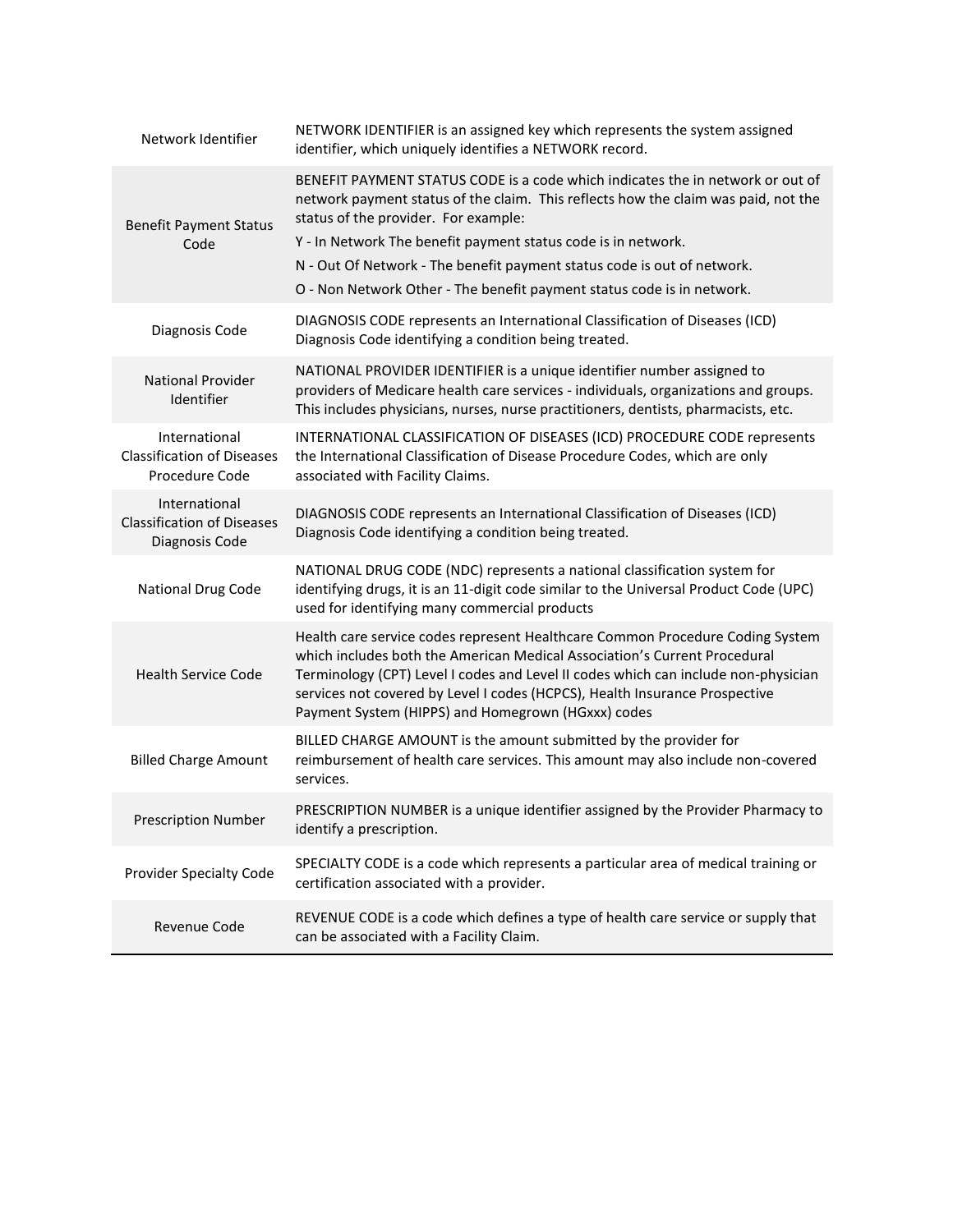| Network Identifier                                                   | NETWORK IDENTIFIER is an assigned key which represents the system assigned<br>identifier, which uniquely identifies a NETWORK record.                                                                                                                                                                                                                                                                                              |
|----------------------------------------------------------------------|------------------------------------------------------------------------------------------------------------------------------------------------------------------------------------------------------------------------------------------------------------------------------------------------------------------------------------------------------------------------------------------------------------------------------------|
| <b>Benefit Payment Status</b><br>Code                                | BENEFIT PAYMENT STATUS CODE is a code which indicates the in network or out of<br>network payment status of the claim. This reflects how the claim was paid, not the<br>status of the provider. For example:<br>Y - In Network The benefit payment status code is in network.<br>N - Out Of Network - The benefit payment status code is out of network.<br>O - Non Network Other - The benefit payment status code is in network. |
| Diagnosis Code                                                       | DIAGNOSIS CODE represents an International Classification of Diseases (ICD)<br>Diagnosis Code identifying a condition being treated.                                                                                                                                                                                                                                                                                               |
| National Provider<br>Identifier                                      | NATIONAL PROVIDER IDENTIFIER is a unique identifier number assigned to<br>providers of Medicare health care services - individuals, organizations and groups.<br>This includes physicians, nurses, nurse practitioners, dentists, pharmacists, etc.                                                                                                                                                                                |
| International<br><b>Classification of Diseases</b><br>Procedure Code | INTERNATIONAL CLASSIFICATION OF DISEASES (ICD) PROCEDURE CODE represents<br>the International Classification of Disease Procedure Codes, which are only<br>associated with Facility Claims.                                                                                                                                                                                                                                        |
| International<br><b>Classification of Diseases</b><br>Diagnosis Code | DIAGNOSIS CODE represents an International Classification of Diseases (ICD)<br>Diagnosis Code identifying a condition being treated.                                                                                                                                                                                                                                                                                               |
| National Drug Code                                                   | NATIONAL DRUG CODE (NDC) represents a national classification system for<br>identifying drugs, it is an 11-digit code similar to the Universal Product Code (UPC)<br>used for identifying many commercial products                                                                                                                                                                                                                 |
| <b>Health Service Code</b>                                           | Health care service codes represent Healthcare Common Procedure Coding System<br>which includes both the American Medical Association's Current Procedural<br>Terminology (CPT) Level I codes and Level II codes which can include non-physician<br>services not covered by Level I codes (HCPCS), Health Insurance Prospective<br>Payment System (HIPPS) and Homegrown (HGxxx) codes                                              |
| <b>Billed Charge Amount</b>                                          | BILLED CHARGE AMOUNT is the amount submitted by the provider for<br>reimbursement of health care services. This amount may also include non-covered<br>services.                                                                                                                                                                                                                                                                   |
| <b>Prescription Number</b>                                           | PRESCRIPTION NUMBER is a unique identifier assigned by the Provider Pharmacy to<br>identify a prescription.                                                                                                                                                                                                                                                                                                                        |
| Provider Specialty Code                                              | SPECIALTY CODE is a code which represents a particular area of medical training or<br>certification associated with a provider.                                                                                                                                                                                                                                                                                                    |
| Revenue Code                                                         | REVENUE CODE is a code which defines a type of health care service or supply that<br>can be associated with a Facility Claim.                                                                                                                                                                                                                                                                                                      |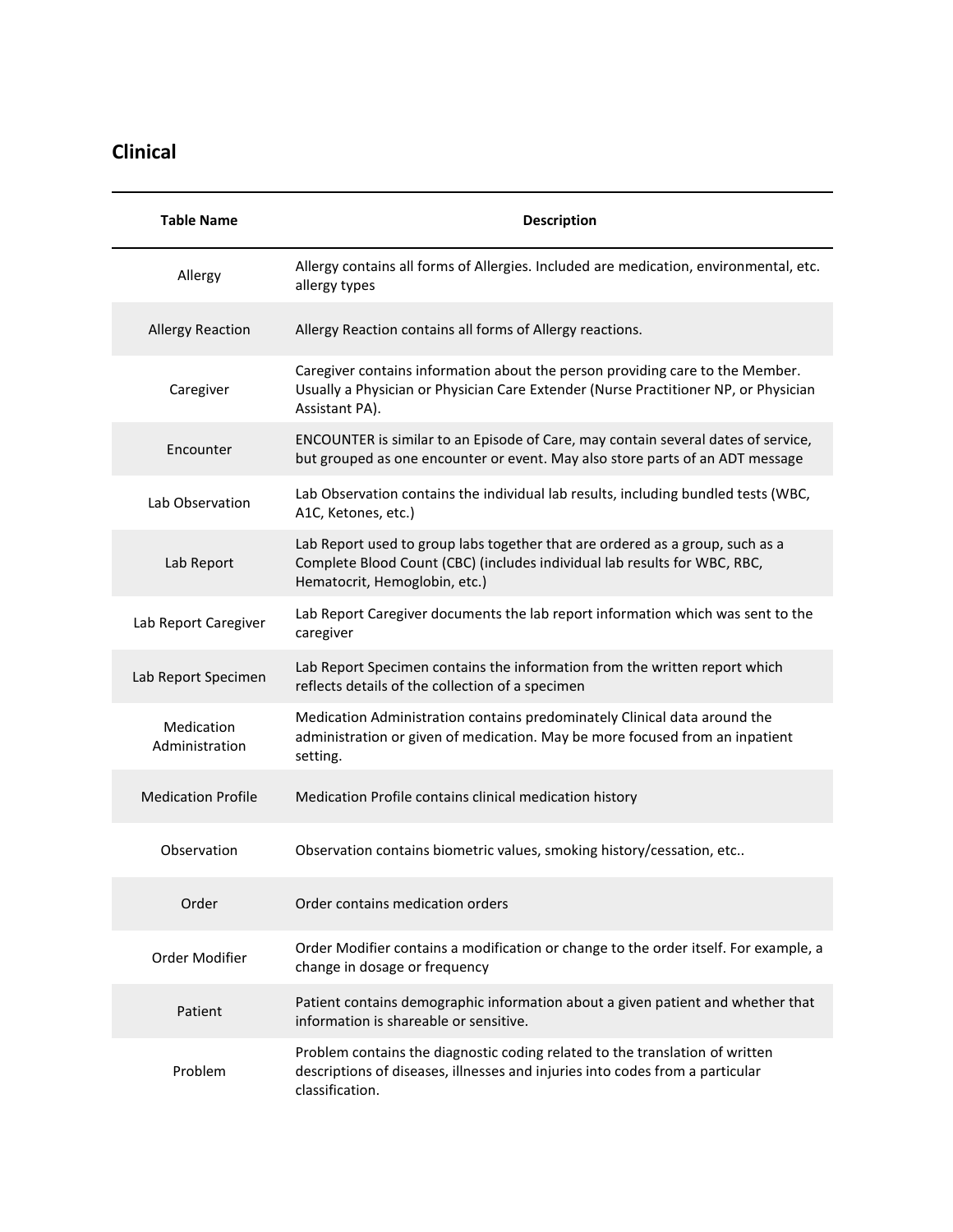## **Clinical**

| <b>Table Name</b>            | <b>Description</b>                                                                                                                                                                          |
|------------------------------|---------------------------------------------------------------------------------------------------------------------------------------------------------------------------------------------|
| Allergy                      | Allergy contains all forms of Allergies. Included are medication, environmental, etc.<br>allergy types                                                                                      |
| <b>Allergy Reaction</b>      | Allergy Reaction contains all forms of Allergy reactions.                                                                                                                                   |
| Caregiver                    | Caregiver contains information about the person providing care to the Member.<br>Usually a Physician or Physician Care Extender (Nurse Practitioner NP, or Physician<br>Assistant PA).      |
| Encounter                    | ENCOUNTER is similar to an Episode of Care, may contain several dates of service,<br>but grouped as one encounter or event. May also store parts of an ADT message                          |
| Lab Observation              | Lab Observation contains the individual lab results, including bundled tests (WBC,<br>A1C, Ketones, etc.)                                                                                   |
| Lab Report                   | Lab Report used to group labs together that are ordered as a group, such as a<br>Complete Blood Count (CBC) (includes individual lab results for WBC, RBC,<br>Hematocrit, Hemoglobin, etc.) |
| Lab Report Caregiver         | Lab Report Caregiver documents the lab report information which was sent to the<br>caregiver                                                                                                |
| Lab Report Specimen          | Lab Report Specimen contains the information from the written report which<br>reflects details of the collection of a specimen                                                              |
| Medication<br>Administration | Medication Administration contains predominately Clinical data around the<br>administration or given of medication. May be more focused from an inpatient<br>setting.                       |
| <b>Medication Profile</b>    | Medication Profile contains clinical medication history                                                                                                                                     |
| Observation                  | Observation contains biometric values, smoking history/cessation, etc                                                                                                                       |
| Order                        | Order contains medication orders                                                                                                                                                            |
| Order Modifier               | Order Modifier contains a modification or change to the order itself. For example, a<br>change in dosage or frequency                                                                       |
| Patient                      | Patient contains demographic information about a given patient and whether that<br>information is shareable or sensitive.                                                                   |
| Problem                      | Problem contains the diagnostic coding related to the translation of written<br>descriptions of diseases, illnesses and injuries into codes from a particular<br>classification.            |